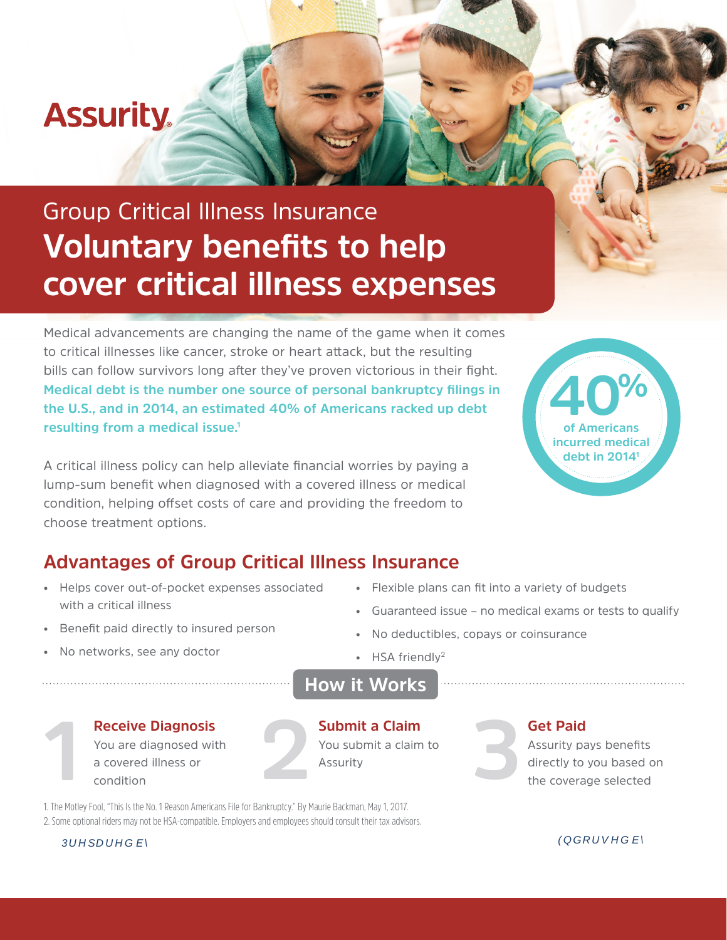# **Assurity**

# Group Critical Illness Insurance **Voluntary benefits to help cover critical illness expenses**

Medical advancements are changing the name of the game when it comes to critical illnesses like cancer, stroke or heart attack, but the resulting bills can follow survivors long after they've proven victorious in their fight. **Medical debt is the number one source of personal bankruptcy filings in the U.S., and in 2014, an estimated 40% of Americans racked up debt resulting from a medical issue.<sup>1</sup>**

A critical illness policy can help alleviate financial worries by paying a lump-sum benefit when diagnosed with a covered illness or medical condition, helping offset costs of care and providing the freedom to choose treatment options.



### **Advantages of Group Critical Illness Insurance**

- Helps cover out-of-pocket expenses associated with a critical illness
- Flexible plans can fit into a variety of budgets
- Guaranteed issue no medical exams or tests to qualify
- Benefit paid directly to insured person
- No networks, see any doctor

• No deductibles, copays or coinsurance • HSA friendly<sup>2</sup>



### **Receive Diagnosis**

You are diagnosed with a covered illness or condition



 $\mathbb{R}$  and  $\mathbb{C}$  and  $\mathbb{R}$  and  $\mathbb{R}$  and  $\mathbb{R}$  and  $\mathbb{R}$  and  $\mathbb{R}$  and  $\mathbb{R}$  and  $\mathbb{R}$  and  $\mathbb{R}$  and  $\mathbb{R}$  and  $\mathbb{R}$  and  $\mathbb{R}$  and  $\mathbb{R}$  and  $\mathbb{R}$  and  $\mathbb{R}$  and  $\mathbb{R}$  and

**Submit a Claim**  You submit a claim to Assurity

#### **Get Paid**

Assurity pays benefits directly to you based on **1 2 3**the coverage selected

1. The Motley Fool, "This Is the No. 1 Reason Americans File for Bankruptcy." By Maurie Backman, May 1, 2017. 2. Some optional riders may not be HSA-compatible. Employers and employees should consult their tax advisors.